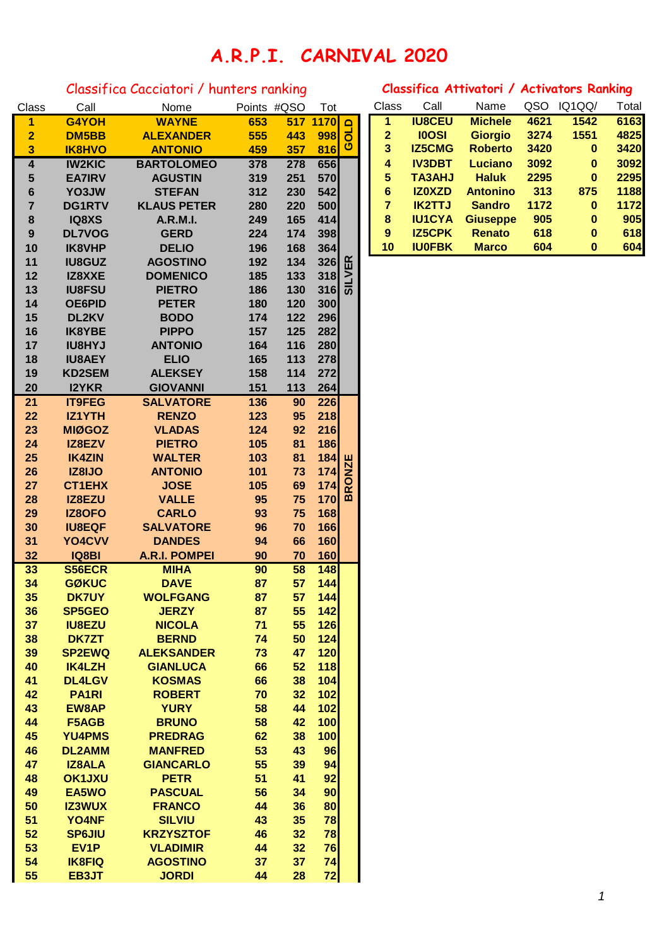## **A.R.P.I. CARNIVAL 2020**

## Classifica Cacciatori / hunters ranking **Classifica Attivatori / Activators Ranking**

| Class                   | Call              | Nome                 |     | Points #QSO | Tot                                                                                         |               | Class        | Call          | Name            | usu  | IQ1QQ/   | I otal |
|-------------------------|-------------------|----------------------|-----|-------------|---------------------------------------------------------------------------------------------|---------------|--------------|---------------|-----------------|------|----------|--------|
| 1                       | G4YOH             | <b>WAYNE</b>         | 653 |             | 517 1170                                                                                    | $\Omega$      | 1            | <b>IU8CEU</b> | <b>Michele</b>  | 4621 | 1542     | 6163   |
| $\overline{\mathbf{2}}$ | <b>DM5BB</b>      | <b>ALEXANDER</b>     | 555 | 443         | 998                                                                                         | $\vec{0}$     | $\mathbf{2}$ | <b>IOOSI</b>  | <b>Giorgio</b>  | 3274 | 1551     | 4825   |
| 3                       | <b>IK8HVO</b>     | <b>ANTONIO</b>       | 459 | 357         | 816                                                                                         | ပ             | 3            | <b>IZ5CMG</b> | <b>Roberto</b>  | 3420 | $\bf{0}$ | 3420   |
| $\overline{\mathbf{4}}$ | <b>IW2KIC</b>     | <b>BARTOLOMEO</b>    | 378 | 278         | 656                                                                                         |               | 4            | <b>IV3DBT</b> | <b>Luciano</b>  | 3092 | 0        | 3092   |
| 5                       | <b>EA7IRV</b>     | <b>AGUSTIN</b>       | 319 | 251         | 570                                                                                         |               | 5            | <b>TA3AHJ</b> | <b>Haluk</b>    | 2295 | $\bf{0}$ | 2295   |
| $6\phantom{1}6$         | YO3JW             | <b>STEFAN</b>        | 312 | 230         | 542                                                                                         |               | 6            | <b>IZOXZD</b> | <b>Antonino</b> | 313  | 875      | 1188   |
| $\overline{7}$          | <b>DG1RTV</b>     | <b>KLAUS PETER</b>   | 280 | 220         | 500                                                                                         |               | 7            | <b>IK2TTJ</b> | <b>Sandro</b>   | 1172 | $\bf{0}$ | 1172   |
| 8                       | IQ8XS             | <b>A.R.M.I.</b>      | 249 | 165         | 414                                                                                         |               | 8            | <b>IU1CYA</b> | <b>Giuseppe</b> | 905  | $\bf{0}$ | 905    |
| 9                       | <b>DL7VOG</b>     | <b>GERD</b>          | 224 | 174         | 398                                                                                         |               | 9            | <b>IZ5CPK</b> | <b>Renato</b>   | 618  | $\bf{0}$ | 618    |
| 10                      | <b>IK8VHP</b>     | <b>DELIO</b>         | 196 | 168         | 364                                                                                         |               | 10           | <b>IU0FBK</b> | <b>Marco</b>    | 604  | $\bf{0}$ | 604    |
| 11                      | <b>IU8GUZ</b>     | <b>AGOSTINO</b>      | 192 | 134         | 326                                                                                         |               |              |               |                 |      |          |        |
| 12                      | IZ8XXE            | <b>DOMENICO</b>      | 185 | 133         | 318                                                                                         | <b>SILVER</b> |              |               |                 |      |          |        |
| 13                      | <b>IU8FSU</b>     | <b>PIETRO</b>        | 186 | 130         | 316                                                                                         |               |              |               |                 |      |          |        |
| 14                      | <b>OE6PID</b>     | <b>PETER</b>         | 180 | 120         | 300                                                                                         |               |              |               |                 |      |          |        |
| 15                      | DL2KV             | <b>BODO</b>          | 174 | 122         | 296                                                                                         |               |              |               |                 |      |          |        |
| 16                      | <b>IK8YBE</b>     | <b>PIPPO</b>         | 157 | 125         | 282                                                                                         |               |              |               |                 |      |          |        |
| 17                      | <b>IU8HYJ</b>     | <b>ANTONIO</b>       | 164 | 116         | 280                                                                                         |               |              |               |                 |      |          |        |
| 18                      | <b>IU8AEY</b>     | <b>ELIO</b>          | 165 | 113         | 278                                                                                         |               |              |               |                 |      |          |        |
| 19                      | <b>KD2SEM</b>     | <b>ALEKSEY</b>       | 158 | 114         | 272                                                                                         |               |              |               |                 |      |          |        |
| 20                      | <b>I2YKR</b>      | <b>GIOVANNI</b>      | 151 | 113         | 264                                                                                         |               |              |               |                 |      |          |        |
| 21                      | <b>IT9FEG</b>     | <b>SALVATORE</b>     | 136 | 90          | 226                                                                                         |               |              |               |                 |      |          |        |
| 22                      | <b>IZ1YTH</b>     | <b>RENZO</b>         | 123 | 95          | 218                                                                                         |               |              |               |                 |      |          |        |
| 23                      | <b>MIØGOZ</b>     | <b>VLADAS</b>        | 124 | 92          | 216                                                                                         |               |              |               |                 |      |          |        |
| 24                      | IZ8EZV            | <b>PIETRO</b>        | 105 | 81          | 186                                                                                         |               |              |               |                 |      |          |        |
| 25                      | <b>IK4ZIN</b>     | <b>WALTER</b>        | 103 | 81          |                                                                                             |               |              |               |                 |      |          |        |
| 26                      | IZ8IJO            | <b>ANTONIO</b>       | 101 | 73          |                                                                                             |               |              |               |                 |      |          |        |
| 27                      | <b>CT1EHX</b>     | <b>JOSE</b>          | 105 | 69          | $\begin{array}{c}\n 184 \\ 174 \\ \hline\n 174 \\ \hline\n 174 \\ \hline\n 0\n \end{array}$ |               |              |               |                 |      |          |        |
| 28                      | IZ8EZU            | <b>VALLE</b>         | 95  | 75          | 170                                                                                         | മ             |              |               |                 |      |          |        |
| 29                      | <b>IZ8OFO</b>     | <b>CARLO</b>         | 93  | 75          | 168                                                                                         |               |              |               |                 |      |          |        |
| 30                      | <b>IU8EQF</b>     | <b>SALVATORE</b>     | 96  | 70          | 166                                                                                         |               |              |               |                 |      |          |        |
| 31                      | YO4CVV            | <b>DANDES</b>        | 94  | 66          | 160                                                                                         |               |              |               |                 |      |          |        |
| 32                      | IQ8BI             | <b>A.R.I. POMPEI</b> | 90  | 70          | 160                                                                                         |               |              |               |                 |      |          |        |
| 33                      | <b>S56ECR</b>     | <b>MIHA</b>          | 90  | 58          | 148                                                                                         |               |              |               |                 |      |          |        |
| 34                      | <b>GØKUC</b>      | <b>DAVE</b>          | 87  | 57          | 144                                                                                         |               |              |               |                 |      |          |        |
| 35                      | <b>DK7UY</b>      | <b>WOLFGANG</b>      | 87  | 57          | 144                                                                                         |               |              |               |                 |      |          |        |
| 36                      | SP5GEO            | <b>JERZY</b>         | 87  | 55          | 142                                                                                         |               |              |               |                 |      |          |        |
| 37                      | <b>IU8EZU</b>     | <b>NICOLA</b>        | 71  | 55          | 126                                                                                         |               |              |               |                 |      |          |        |
| 38                      | <b>DK7ZT</b>      | <b>BERND</b>         | 74  | 50          | 124                                                                                         |               |              |               |                 |      |          |        |
| 39                      | <b>SP2EWQ</b>     | <b>ALEKSANDER</b>    | 73  | 47          | 120                                                                                         |               |              |               |                 |      |          |        |
| 40                      | <b>IK4LZH</b>     | <b>GIANLUCA</b>      | 66  | 52          | 118                                                                                         |               |              |               |                 |      |          |        |
| 41                      | <b>DL4LGV</b>     | <b>KOSMAS</b>        | 66  | 38          | 104                                                                                         |               |              |               |                 |      |          |        |
| 42                      | <b>PA1RI</b>      | <b>ROBERT</b>        | 70  | 32          | 102                                                                                         |               |              |               |                 |      |          |        |
| 43                      | <b>EW8AP</b>      | <b>YURY</b>          | 58  | 44          | 102                                                                                         |               |              |               |                 |      |          |        |
| 44                      | F5AGB             | <b>BRUNO</b>         | 58  | 42          | 100                                                                                         |               |              |               |                 |      |          |        |
| 45                      | YU4PMS            | <b>PREDRAG</b>       | 62  | 38          | 100                                                                                         |               |              |               |                 |      |          |        |
| 46                      | <b>DL2AMM</b>     | <b>MANFRED</b>       | 53  | 43          | 96                                                                                          |               |              |               |                 |      |          |        |
| 47                      | <b>IZ8ALA</b>     | <b>GIANCARLO</b>     | 55  | 39          | 94                                                                                          |               |              |               |                 |      |          |        |
| 48                      | <b>OK1JXU</b>     | <b>PETR</b>          | 51  | 41          | 92                                                                                          |               |              |               |                 |      |          |        |
| 49                      | EA5WO             | <b>PASCUAL</b>       | 56  | 34          | 90                                                                                          |               |              |               |                 |      |          |        |
| 50                      | <b>IZ3WUX</b>     | <b>FRANCO</b>        | 44  | 36          | 80                                                                                          |               |              |               |                 |      |          |        |
| 51                      | YO4NF             | <b>SILVIU</b>        | 43  | 35          | 78                                                                                          |               |              |               |                 |      |          |        |
| 52                      | <b>SP6JIU</b>     | <b>KRZYSZTOF</b>     | 46  | 32          | 78                                                                                          |               |              |               |                 |      |          |        |
| 53                      | EV <sub>1</sub> P | <b>VLADIMIR</b>      | 44  | 32          | 76                                                                                          |               |              |               |                 |      |          |        |
| 54                      | <b>IK8FIQ</b>     | <b>AGOSTINO</b>      | 37  | 37          | 74                                                                                          |               |              |               |                 |      |          |        |
| 55                      | EB3JT             | <b>JORDI</b>         | 44  | 28          | 72                                                                                          |               |              |               |                 |      |          |        |

| Class          | Call          | Nome               | Points | #QSO       | Tot         |        | Class        | Call          | Name            | QSO  | IQ1QQ/   | Total |
|----------------|---------------|--------------------|--------|------------|-------------|--------|--------------|---------------|-----------------|------|----------|-------|
|                | G4YOH         | <b>WAYNE</b>       | 653    | 517        | <b>1170</b> | $\Box$ |              | <b>IU8CEU</b> | <b>Michele</b>  | 4621 | 1542     | 6163  |
| $\overline{2}$ | DM5BB         | <b>ALEXANDER</b>   | 555    | 443        | 998         |        | $\mathbf{2}$ | <b>IOOSI</b>  | <b>Giorgio</b>  | 3274 | 1551     | 4825  |
| 3              | <b>IK8HVO</b> | <b>ANTONIO</b>     | 459    | 357        | 816         | ဖ      | 3            | <b>IZ5CMG</b> | <b>Roberto</b>  | 3420 | 0        | 3420  |
| 4              | <b>IW2KIC</b> | <b>BARTOLOMEO</b>  | 378    | 278        | <b>656</b>  |        | 4            | <b>IV3DBT</b> | Luciano         | 3092 | $\bf{0}$ | 3092  |
| 5              | <b>EA7IRV</b> | <b>AGUSTIN</b>     | 319    | 251        | 570         |        | 5            | <b>TA3AHJ</b> | <b>Haluk</b>    | 2295 | $\bf{0}$ | 2295  |
| 6              | YO3JW         | <b>STEFAN</b>      | 312    | 230        | 542         |        | 6            | <b>IZOXZD</b> | <b>Antonino</b> | 313  | 875      | 1188  |
|                | <b>DG1RTV</b> | <b>KLAUS PETER</b> | 280    | <b>220</b> | 500         |        |              | <b>IK2TTJ</b> | <b>Sandro</b>   | 1172 | $\bf{0}$ | 1172  |
| 8              | <b>IQ8XS</b>  | <b>A.R.M.I.</b>    | 249    | 165        | 414         |        | 8            | <b>IU1CYA</b> | <b>Giuseppe</b> | 905  | $\bf{0}$ | 905   |
| 9              | <b>DL7VOG</b> | <b>GERD</b>        | 224    | 174        | 398         |        | 9            | <b>IZ5CPK</b> | <b>Renato</b>   | 618  | $\bf{0}$ | 618   |
| 10             | <b>IK8VHP</b> | <b>DELIO</b>       | 196    | 168        | 364         |        | 10           | <b>IU0FBK</b> | <b>Marco</b>    | 604  | 0        | 604   |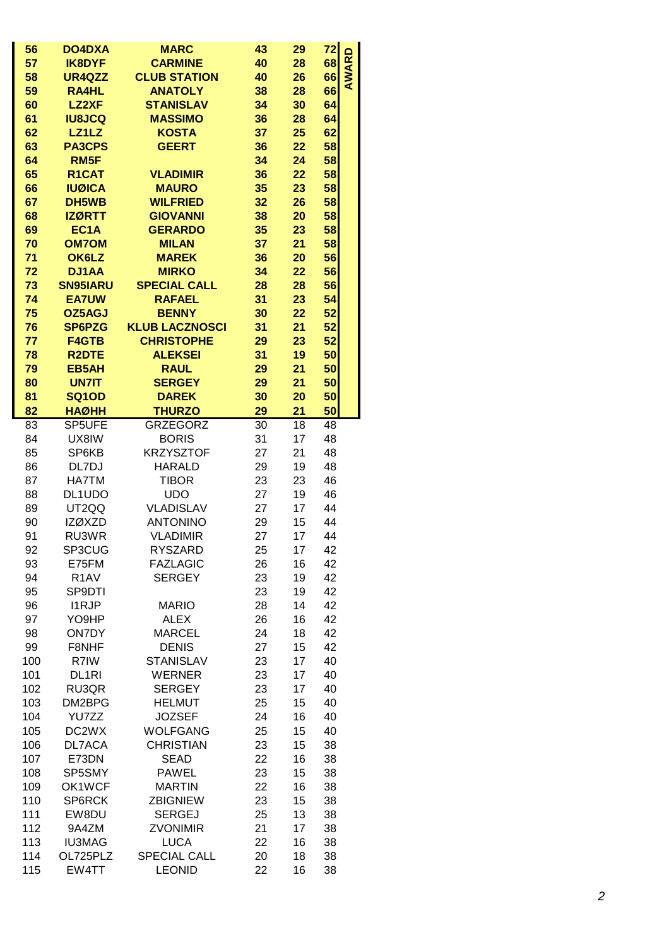| 56<br>72<br><b>DO4DXA</b><br><b>MARC</b><br>43<br>29<br><b>AWARD</b><br>68<br>57<br><b>IK8DYF</b><br><b>CARMINE</b><br>40<br>28<br>58<br><b>CLUB STATION</b><br>40<br>66<br>UR4QZZ<br>26<br>66<br>59<br><b>ANATOLY</b><br>38<br><b>RA4HL</b><br>28<br><b>LZ2XF</b><br><b>STANISLAV</b><br>34<br>30<br>64<br>60<br><b>IU8JCQ</b><br><b>MASSIMO</b><br>36<br>64<br>61<br>28<br>LZ1LZ<br><b>KOSTA</b><br>62<br>37<br>25<br>62<br><b>GEERT</b><br>58<br>63<br><b>PA3CPS</b><br>36<br>22<br>58<br>64<br>RM5F<br>34<br>24<br>58<br>65<br>R1CAT<br><b>VLADIMIR</b><br>36<br>22<br>58<br>66<br><b>IUØICA</b><br><b>MAURO</b><br>35<br>23<br>58<br>67<br>DH5WB<br><b>WILFRIED</b><br>32<br>26<br><b>IZØRTT</b><br><b>GIOVANNI</b><br>20<br>58<br>68<br>38<br>EC <sub>1</sub> A<br><b>GERARDO</b><br>35<br>23<br>58<br>69<br>70<br><b>OM7OM</b><br><b>MILAN</b><br>37<br>21<br>58<br>71<br>OK6LZ<br><b>MAREK</b><br>36<br>20<br>56<br>72<br><b>DJ1AA</b><br><b>MIRKO</b><br>34<br>22<br>56<br>73<br><b>SN95IARU</b><br><b>SPECIAL CALL</b><br>28<br>28<br>56<br>74<br><b>EA7UW</b><br><b>RAFAEL</b><br>31<br>23<br>54<br>75<br><b>BENNY</b><br>30<br>22<br>52<br>OZ5AGJ<br>76<br><b>SP6PZG</b><br><b>KLUB LACZNOSCI</b><br>31<br>21<br>52<br>77<br><b>F4GTB</b><br><b>CHRISTOPHE</b><br>29<br>23<br>52<br>78<br><b>R2DTE</b><br><b>ALEKSEI</b><br>31<br>19<br>50<br>79<br><b>EB5AH</b><br><b>RAUL</b><br>29<br>21<br>50<br>80<br><b>UN7IT</b><br><b>SERGEY</b><br>21<br>50<br>29<br>81<br><b>DAREK</b><br>30<br>50<br><b>SQ1OD</b><br>20<br><b>HAØHH</b><br><b>THURZO</b><br>50<br>82<br>29<br>21<br>SP5UFE<br><b>GRZEGORZ</b><br>83<br>30<br>18<br>48<br>UX8IW<br><b>BORIS</b><br>31<br>17<br>48<br>84<br><b>KRZYSZTOF</b><br>85<br>SP6KB<br>27<br>21<br>48<br>19<br>48<br>86<br>DL7DJ<br><b>HARALD</b><br>29<br>87<br>HA7TM<br><b>TIBOR</b><br>23<br>23<br>46<br><b>UDO</b><br>27<br>19<br>46<br>88<br>DL1UDO<br>89<br>UT2QQ<br><b>VLADISLAV</b><br>27<br>17<br>44<br><b>ANTONINO</b><br>44<br>90<br><b>IZØXZD</b><br>29<br>15<br>91<br>RU3WR<br><b>VLADIMIR</b><br>27<br>44<br>17<br><b>RYSZARD</b><br>SP3CUG<br>17<br>42<br>92<br>25<br>E75FM<br><b>FAZLAGIC</b><br>16<br>42<br>93<br>26<br>42<br>94<br>R <sub>1</sub> AV<br><b>SERGEY</b><br>23<br>19<br>95<br>SP9DTI<br>19<br>42<br>23<br>96<br><b>I1RJP</b><br>28<br>14<br>42<br><b>MARIO</b><br>97<br>YO9HP<br><b>ALEX</b><br>26<br>16<br>42<br>98<br><b>ON7DY</b><br><b>MARCEL</b><br>18<br>42<br>24<br>99<br>F8NHF<br><b>DENIS</b><br>27<br>15<br>42<br>100<br>R7IW<br><b>STANISLAV</b><br>17<br>40<br>23<br>101<br>DL <sub>1RI</sub><br><b>WERNER</b><br>17<br>40<br>23<br>102<br>RU3QR<br><b>SERGEY</b><br>23<br>17<br>40<br>103<br><b>HELMUT</b><br>25<br>15<br>40<br>DM2BPG<br>104<br>YU7ZZ<br><b>JOZSEF</b><br>24<br>16<br>40<br>105<br>DC2WX<br><b>WOLFGANG</b><br>15<br>40<br>25<br>106<br><b>CHRISTIAN</b><br>23<br>DL7ACA<br>15<br>38<br>107<br>E73DN<br><b>SEAD</b><br>22<br>16<br>38<br>SP5SMY<br><b>PAWEL</b><br>23<br>15<br>108<br>38<br>109<br>OK1WCF<br><b>MARTIN</b><br>22<br>16<br>38<br>110<br>SP6RCK<br><b>ZBIGNIEW</b><br>23<br>15<br>38<br>111<br>EW8DU<br><b>SERGEJ</b><br>25<br>13<br>38<br>112<br>9A4ZM<br><b>ZVONIMIR</b><br>21<br>17<br>38<br>113<br><b>IU3MAG</b><br><b>LUCA</b><br>38<br>22<br>16<br>114<br>OL725PLZ<br><b>SPECIAL CALL</b><br>20<br>18<br>38 |     |       |               |    |    |    |  |
|-------------------------------------------------------------------------------------------------------------------------------------------------------------------------------------------------------------------------------------------------------------------------------------------------------------------------------------------------------------------------------------------------------------------------------------------------------------------------------------------------------------------------------------------------------------------------------------------------------------------------------------------------------------------------------------------------------------------------------------------------------------------------------------------------------------------------------------------------------------------------------------------------------------------------------------------------------------------------------------------------------------------------------------------------------------------------------------------------------------------------------------------------------------------------------------------------------------------------------------------------------------------------------------------------------------------------------------------------------------------------------------------------------------------------------------------------------------------------------------------------------------------------------------------------------------------------------------------------------------------------------------------------------------------------------------------------------------------------------------------------------------------------------------------------------------------------------------------------------------------------------------------------------------------------------------------------------------------------------------------------------------------------------------------------------------------------------------------------------------------------------------------------------------------------------------------------------------------------------------------------------------------------------------------------------------------------------------------------------------------------------------------------------------------------------------------------------------------------------------------------------------------------------------------------------------------------------------------------------------------------------------------------------------------------------------------------------------------------------------------------------------------------------------------------------------------------------------------------------------------------------------------------------------------------------------------------------------------------------------------------------------------------------------------------------------------------------------------------------------------------------------------------------------------------------------------------------------------------------------------------------------------------------------------------------------------------------------------|-----|-------|---------------|----|----|----|--|
|                                                                                                                                                                                                                                                                                                                                                                                                                                                                                                                                                                                                                                                                                                                                                                                                                                                                                                                                                                                                                                                                                                                                                                                                                                                                                                                                                                                                                                                                                                                                                                                                                                                                                                                                                                                                                                                                                                                                                                                                                                                                                                                                                                                                                                                                                                                                                                                                                                                                                                                                                                                                                                                                                                                                                                                                                                                                                                                                                                                                                                                                                                                                                                                                                                                                                                                                           |     |       |               |    |    |    |  |
|                                                                                                                                                                                                                                                                                                                                                                                                                                                                                                                                                                                                                                                                                                                                                                                                                                                                                                                                                                                                                                                                                                                                                                                                                                                                                                                                                                                                                                                                                                                                                                                                                                                                                                                                                                                                                                                                                                                                                                                                                                                                                                                                                                                                                                                                                                                                                                                                                                                                                                                                                                                                                                                                                                                                                                                                                                                                                                                                                                                                                                                                                                                                                                                                                                                                                                                                           |     |       |               |    |    |    |  |
|                                                                                                                                                                                                                                                                                                                                                                                                                                                                                                                                                                                                                                                                                                                                                                                                                                                                                                                                                                                                                                                                                                                                                                                                                                                                                                                                                                                                                                                                                                                                                                                                                                                                                                                                                                                                                                                                                                                                                                                                                                                                                                                                                                                                                                                                                                                                                                                                                                                                                                                                                                                                                                                                                                                                                                                                                                                                                                                                                                                                                                                                                                                                                                                                                                                                                                                                           |     |       |               |    |    |    |  |
|                                                                                                                                                                                                                                                                                                                                                                                                                                                                                                                                                                                                                                                                                                                                                                                                                                                                                                                                                                                                                                                                                                                                                                                                                                                                                                                                                                                                                                                                                                                                                                                                                                                                                                                                                                                                                                                                                                                                                                                                                                                                                                                                                                                                                                                                                                                                                                                                                                                                                                                                                                                                                                                                                                                                                                                                                                                                                                                                                                                                                                                                                                                                                                                                                                                                                                                                           |     |       |               |    |    |    |  |
|                                                                                                                                                                                                                                                                                                                                                                                                                                                                                                                                                                                                                                                                                                                                                                                                                                                                                                                                                                                                                                                                                                                                                                                                                                                                                                                                                                                                                                                                                                                                                                                                                                                                                                                                                                                                                                                                                                                                                                                                                                                                                                                                                                                                                                                                                                                                                                                                                                                                                                                                                                                                                                                                                                                                                                                                                                                                                                                                                                                                                                                                                                                                                                                                                                                                                                                                           |     |       |               |    |    |    |  |
|                                                                                                                                                                                                                                                                                                                                                                                                                                                                                                                                                                                                                                                                                                                                                                                                                                                                                                                                                                                                                                                                                                                                                                                                                                                                                                                                                                                                                                                                                                                                                                                                                                                                                                                                                                                                                                                                                                                                                                                                                                                                                                                                                                                                                                                                                                                                                                                                                                                                                                                                                                                                                                                                                                                                                                                                                                                                                                                                                                                                                                                                                                                                                                                                                                                                                                                                           |     |       |               |    |    |    |  |
|                                                                                                                                                                                                                                                                                                                                                                                                                                                                                                                                                                                                                                                                                                                                                                                                                                                                                                                                                                                                                                                                                                                                                                                                                                                                                                                                                                                                                                                                                                                                                                                                                                                                                                                                                                                                                                                                                                                                                                                                                                                                                                                                                                                                                                                                                                                                                                                                                                                                                                                                                                                                                                                                                                                                                                                                                                                                                                                                                                                                                                                                                                                                                                                                                                                                                                                                           |     |       |               |    |    |    |  |
|                                                                                                                                                                                                                                                                                                                                                                                                                                                                                                                                                                                                                                                                                                                                                                                                                                                                                                                                                                                                                                                                                                                                                                                                                                                                                                                                                                                                                                                                                                                                                                                                                                                                                                                                                                                                                                                                                                                                                                                                                                                                                                                                                                                                                                                                                                                                                                                                                                                                                                                                                                                                                                                                                                                                                                                                                                                                                                                                                                                                                                                                                                                                                                                                                                                                                                                                           |     |       |               |    |    |    |  |
|                                                                                                                                                                                                                                                                                                                                                                                                                                                                                                                                                                                                                                                                                                                                                                                                                                                                                                                                                                                                                                                                                                                                                                                                                                                                                                                                                                                                                                                                                                                                                                                                                                                                                                                                                                                                                                                                                                                                                                                                                                                                                                                                                                                                                                                                                                                                                                                                                                                                                                                                                                                                                                                                                                                                                                                                                                                                                                                                                                                                                                                                                                                                                                                                                                                                                                                                           |     |       |               |    |    |    |  |
|                                                                                                                                                                                                                                                                                                                                                                                                                                                                                                                                                                                                                                                                                                                                                                                                                                                                                                                                                                                                                                                                                                                                                                                                                                                                                                                                                                                                                                                                                                                                                                                                                                                                                                                                                                                                                                                                                                                                                                                                                                                                                                                                                                                                                                                                                                                                                                                                                                                                                                                                                                                                                                                                                                                                                                                                                                                                                                                                                                                                                                                                                                                                                                                                                                                                                                                                           |     |       |               |    |    |    |  |
|                                                                                                                                                                                                                                                                                                                                                                                                                                                                                                                                                                                                                                                                                                                                                                                                                                                                                                                                                                                                                                                                                                                                                                                                                                                                                                                                                                                                                                                                                                                                                                                                                                                                                                                                                                                                                                                                                                                                                                                                                                                                                                                                                                                                                                                                                                                                                                                                                                                                                                                                                                                                                                                                                                                                                                                                                                                                                                                                                                                                                                                                                                                                                                                                                                                                                                                                           |     |       |               |    |    |    |  |
|                                                                                                                                                                                                                                                                                                                                                                                                                                                                                                                                                                                                                                                                                                                                                                                                                                                                                                                                                                                                                                                                                                                                                                                                                                                                                                                                                                                                                                                                                                                                                                                                                                                                                                                                                                                                                                                                                                                                                                                                                                                                                                                                                                                                                                                                                                                                                                                                                                                                                                                                                                                                                                                                                                                                                                                                                                                                                                                                                                                                                                                                                                                                                                                                                                                                                                                                           |     |       |               |    |    |    |  |
|                                                                                                                                                                                                                                                                                                                                                                                                                                                                                                                                                                                                                                                                                                                                                                                                                                                                                                                                                                                                                                                                                                                                                                                                                                                                                                                                                                                                                                                                                                                                                                                                                                                                                                                                                                                                                                                                                                                                                                                                                                                                                                                                                                                                                                                                                                                                                                                                                                                                                                                                                                                                                                                                                                                                                                                                                                                                                                                                                                                                                                                                                                                                                                                                                                                                                                                                           |     |       |               |    |    |    |  |
|                                                                                                                                                                                                                                                                                                                                                                                                                                                                                                                                                                                                                                                                                                                                                                                                                                                                                                                                                                                                                                                                                                                                                                                                                                                                                                                                                                                                                                                                                                                                                                                                                                                                                                                                                                                                                                                                                                                                                                                                                                                                                                                                                                                                                                                                                                                                                                                                                                                                                                                                                                                                                                                                                                                                                                                                                                                                                                                                                                                                                                                                                                                                                                                                                                                                                                                                           |     |       |               |    |    |    |  |
|                                                                                                                                                                                                                                                                                                                                                                                                                                                                                                                                                                                                                                                                                                                                                                                                                                                                                                                                                                                                                                                                                                                                                                                                                                                                                                                                                                                                                                                                                                                                                                                                                                                                                                                                                                                                                                                                                                                                                                                                                                                                                                                                                                                                                                                                                                                                                                                                                                                                                                                                                                                                                                                                                                                                                                                                                                                                                                                                                                                                                                                                                                                                                                                                                                                                                                                                           |     |       |               |    |    |    |  |
|                                                                                                                                                                                                                                                                                                                                                                                                                                                                                                                                                                                                                                                                                                                                                                                                                                                                                                                                                                                                                                                                                                                                                                                                                                                                                                                                                                                                                                                                                                                                                                                                                                                                                                                                                                                                                                                                                                                                                                                                                                                                                                                                                                                                                                                                                                                                                                                                                                                                                                                                                                                                                                                                                                                                                                                                                                                                                                                                                                                                                                                                                                                                                                                                                                                                                                                                           |     |       |               |    |    |    |  |
|                                                                                                                                                                                                                                                                                                                                                                                                                                                                                                                                                                                                                                                                                                                                                                                                                                                                                                                                                                                                                                                                                                                                                                                                                                                                                                                                                                                                                                                                                                                                                                                                                                                                                                                                                                                                                                                                                                                                                                                                                                                                                                                                                                                                                                                                                                                                                                                                                                                                                                                                                                                                                                                                                                                                                                                                                                                                                                                                                                                                                                                                                                                                                                                                                                                                                                                                           |     |       |               |    |    |    |  |
|                                                                                                                                                                                                                                                                                                                                                                                                                                                                                                                                                                                                                                                                                                                                                                                                                                                                                                                                                                                                                                                                                                                                                                                                                                                                                                                                                                                                                                                                                                                                                                                                                                                                                                                                                                                                                                                                                                                                                                                                                                                                                                                                                                                                                                                                                                                                                                                                                                                                                                                                                                                                                                                                                                                                                                                                                                                                                                                                                                                                                                                                                                                                                                                                                                                                                                                                           |     |       |               |    |    |    |  |
|                                                                                                                                                                                                                                                                                                                                                                                                                                                                                                                                                                                                                                                                                                                                                                                                                                                                                                                                                                                                                                                                                                                                                                                                                                                                                                                                                                                                                                                                                                                                                                                                                                                                                                                                                                                                                                                                                                                                                                                                                                                                                                                                                                                                                                                                                                                                                                                                                                                                                                                                                                                                                                                                                                                                                                                                                                                                                                                                                                                                                                                                                                                                                                                                                                                                                                                                           |     |       |               |    |    |    |  |
|                                                                                                                                                                                                                                                                                                                                                                                                                                                                                                                                                                                                                                                                                                                                                                                                                                                                                                                                                                                                                                                                                                                                                                                                                                                                                                                                                                                                                                                                                                                                                                                                                                                                                                                                                                                                                                                                                                                                                                                                                                                                                                                                                                                                                                                                                                                                                                                                                                                                                                                                                                                                                                                                                                                                                                                                                                                                                                                                                                                                                                                                                                                                                                                                                                                                                                                                           |     |       |               |    |    |    |  |
|                                                                                                                                                                                                                                                                                                                                                                                                                                                                                                                                                                                                                                                                                                                                                                                                                                                                                                                                                                                                                                                                                                                                                                                                                                                                                                                                                                                                                                                                                                                                                                                                                                                                                                                                                                                                                                                                                                                                                                                                                                                                                                                                                                                                                                                                                                                                                                                                                                                                                                                                                                                                                                                                                                                                                                                                                                                                                                                                                                                                                                                                                                                                                                                                                                                                                                                                           |     |       |               |    |    |    |  |
|                                                                                                                                                                                                                                                                                                                                                                                                                                                                                                                                                                                                                                                                                                                                                                                                                                                                                                                                                                                                                                                                                                                                                                                                                                                                                                                                                                                                                                                                                                                                                                                                                                                                                                                                                                                                                                                                                                                                                                                                                                                                                                                                                                                                                                                                                                                                                                                                                                                                                                                                                                                                                                                                                                                                                                                                                                                                                                                                                                                                                                                                                                                                                                                                                                                                                                                                           |     |       |               |    |    |    |  |
|                                                                                                                                                                                                                                                                                                                                                                                                                                                                                                                                                                                                                                                                                                                                                                                                                                                                                                                                                                                                                                                                                                                                                                                                                                                                                                                                                                                                                                                                                                                                                                                                                                                                                                                                                                                                                                                                                                                                                                                                                                                                                                                                                                                                                                                                                                                                                                                                                                                                                                                                                                                                                                                                                                                                                                                                                                                                                                                                                                                                                                                                                                                                                                                                                                                                                                                                           |     |       |               |    |    |    |  |
|                                                                                                                                                                                                                                                                                                                                                                                                                                                                                                                                                                                                                                                                                                                                                                                                                                                                                                                                                                                                                                                                                                                                                                                                                                                                                                                                                                                                                                                                                                                                                                                                                                                                                                                                                                                                                                                                                                                                                                                                                                                                                                                                                                                                                                                                                                                                                                                                                                                                                                                                                                                                                                                                                                                                                                                                                                                                                                                                                                                                                                                                                                                                                                                                                                                                                                                                           |     |       |               |    |    |    |  |
|                                                                                                                                                                                                                                                                                                                                                                                                                                                                                                                                                                                                                                                                                                                                                                                                                                                                                                                                                                                                                                                                                                                                                                                                                                                                                                                                                                                                                                                                                                                                                                                                                                                                                                                                                                                                                                                                                                                                                                                                                                                                                                                                                                                                                                                                                                                                                                                                                                                                                                                                                                                                                                                                                                                                                                                                                                                                                                                                                                                                                                                                                                                                                                                                                                                                                                                                           |     |       |               |    |    |    |  |
|                                                                                                                                                                                                                                                                                                                                                                                                                                                                                                                                                                                                                                                                                                                                                                                                                                                                                                                                                                                                                                                                                                                                                                                                                                                                                                                                                                                                                                                                                                                                                                                                                                                                                                                                                                                                                                                                                                                                                                                                                                                                                                                                                                                                                                                                                                                                                                                                                                                                                                                                                                                                                                                                                                                                                                                                                                                                                                                                                                                                                                                                                                                                                                                                                                                                                                                                           |     |       |               |    |    |    |  |
|                                                                                                                                                                                                                                                                                                                                                                                                                                                                                                                                                                                                                                                                                                                                                                                                                                                                                                                                                                                                                                                                                                                                                                                                                                                                                                                                                                                                                                                                                                                                                                                                                                                                                                                                                                                                                                                                                                                                                                                                                                                                                                                                                                                                                                                                                                                                                                                                                                                                                                                                                                                                                                                                                                                                                                                                                                                                                                                                                                                                                                                                                                                                                                                                                                                                                                                                           |     |       |               |    |    |    |  |
|                                                                                                                                                                                                                                                                                                                                                                                                                                                                                                                                                                                                                                                                                                                                                                                                                                                                                                                                                                                                                                                                                                                                                                                                                                                                                                                                                                                                                                                                                                                                                                                                                                                                                                                                                                                                                                                                                                                                                                                                                                                                                                                                                                                                                                                                                                                                                                                                                                                                                                                                                                                                                                                                                                                                                                                                                                                                                                                                                                                                                                                                                                                                                                                                                                                                                                                                           |     |       |               |    |    |    |  |
|                                                                                                                                                                                                                                                                                                                                                                                                                                                                                                                                                                                                                                                                                                                                                                                                                                                                                                                                                                                                                                                                                                                                                                                                                                                                                                                                                                                                                                                                                                                                                                                                                                                                                                                                                                                                                                                                                                                                                                                                                                                                                                                                                                                                                                                                                                                                                                                                                                                                                                                                                                                                                                                                                                                                                                                                                                                                                                                                                                                                                                                                                                                                                                                                                                                                                                                                           |     |       |               |    |    |    |  |
|                                                                                                                                                                                                                                                                                                                                                                                                                                                                                                                                                                                                                                                                                                                                                                                                                                                                                                                                                                                                                                                                                                                                                                                                                                                                                                                                                                                                                                                                                                                                                                                                                                                                                                                                                                                                                                                                                                                                                                                                                                                                                                                                                                                                                                                                                                                                                                                                                                                                                                                                                                                                                                                                                                                                                                                                                                                                                                                                                                                                                                                                                                                                                                                                                                                                                                                                           |     |       |               |    |    |    |  |
|                                                                                                                                                                                                                                                                                                                                                                                                                                                                                                                                                                                                                                                                                                                                                                                                                                                                                                                                                                                                                                                                                                                                                                                                                                                                                                                                                                                                                                                                                                                                                                                                                                                                                                                                                                                                                                                                                                                                                                                                                                                                                                                                                                                                                                                                                                                                                                                                                                                                                                                                                                                                                                                                                                                                                                                                                                                                                                                                                                                                                                                                                                                                                                                                                                                                                                                                           |     |       |               |    |    |    |  |
|                                                                                                                                                                                                                                                                                                                                                                                                                                                                                                                                                                                                                                                                                                                                                                                                                                                                                                                                                                                                                                                                                                                                                                                                                                                                                                                                                                                                                                                                                                                                                                                                                                                                                                                                                                                                                                                                                                                                                                                                                                                                                                                                                                                                                                                                                                                                                                                                                                                                                                                                                                                                                                                                                                                                                                                                                                                                                                                                                                                                                                                                                                                                                                                                                                                                                                                                           |     |       |               |    |    |    |  |
|                                                                                                                                                                                                                                                                                                                                                                                                                                                                                                                                                                                                                                                                                                                                                                                                                                                                                                                                                                                                                                                                                                                                                                                                                                                                                                                                                                                                                                                                                                                                                                                                                                                                                                                                                                                                                                                                                                                                                                                                                                                                                                                                                                                                                                                                                                                                                                                                                                                                                                                                                                                                                                                                                                                                                                                                                                                                                                                                                                                                                                                                                                                                                                                                                                                                                                                                           |     |       |               |    |    |    |  |
|                                                                                                                                                                                                                                                                                                                                                                                                                                                                                                                                                                                                                                                                                                                                                                                                                                                                                                                                                                                                                                                                                                                                                                                                                                                                                                                                                                                                                                                                                                                                                                                                                                                                                                                                                                                                                                                                                                                                                                                                                                                                                                                                                                                                                                                                                                                                                                                                                                                                                                                                                                                                                                                                                                                                                                                                                                                                                                                                                                                                                                                                                                                                                                                                                                                                                                                                           |     |       |               |    |    |    |  |
|                                                                                                                                                                                                                                                                                                                                                                                                                                                                                                                                                                                                                                                                                                                                                                                                                                                                                                                                                                                                                                                                                                                                                                                                                                                                                                                                                                                                                                                                                                                                                                                                                                                                                                                                                                                                                                                                                                                                                                                                                                                                                                                                                                                                                                                                                                                                                                                                                                                                                                                                                                                                                                                                                                                                                                                                                                                                                                                                                                                                                                                                                                                                                                                                                                                                                                                                           |     |       |               |    |    |    |  |
|                                                                                                                                                                                                                                                                                                                                                                                                                                                                                                                                                                                                                                                                                                                                                                                                                                                                                                                                                                                                                                                                                                                                                                                                                                                                                                                                                                                                                                                                                                                                                                                                                                                                                                                                                                                                                                                                                                                                                                                                                                                                                                                                                                                                                                                                                                                                                                                                                                                                                                                                                                                                                                                                                                                                                                                                                                                                                                                                                                                                                                                                                                                                                                                                                                                                                                                                           |     |       |               |    |    |    |  |
|                                                                                                                                                                                                                                                                                                                                                                                                                                                                                                                                                                                                                                                                                                                                                                                                                                                                                                                                                                                                                                                                                                                                                                                                                                                                                                                                                                                                                                                                                                                                                                                                                                                                                                                                                                                                                                                                                                                                                                                                                                                                                                                                                                                                                                                                                                                                                                                                                                                                                                                                                                                                                                                                                                                                                                                                                                                                                                                                                                                                                                                                                                                                                                                                                                                                                                                                           |     |       |               |    |    |    |  |
|                                                                                                                                                                                                                                                                                                                                                                                                                                                                                                                                                                                                                                                                                                                                                                                                                                                                                                                                                                                                                                                                                                                                                                                                                                                                                                                                                                                                                                                                                                                                                                                                                                                                                                                                                                                                                                                                                                                                                                                                                                                                                                                                                                                                                                                                                                                                                                                                                                                                                                                                                                                                                                                                                                                                                                                                                                                                                                                                                                                                                                                                                                                                                                                                                                                                                                                                           |     |       |               |    |    |    |  |
|                                                                                                                                                                                                                                                                                                                                                                                                                                                                                                                                                                                                                                                                                                                                                                                                                                                                                                                                                                                                                                                                                                                                                                                                                                                                                                                                                                                                                                                                                                                                                                                                                                                                                                                                                                                                                                                                                                                                                                                                                                                                                                                                                                                                                                                                                                                                                                                                                                                                                                                                                                                                                                                                                                                                                                                                                                                                                                                                                                                                                                                                                                                                                                                                                                                                                                                                           |     |       |               |    |    |    |  |
|                                                                                                                                                                                                                                                                                                                                                                                                                                                                                                                                                                                                                                                                                                                                                                                                                                                                                                                                                                                                                                                                                                                                                                                                                                                                                                                                                                                                                                                                                                                                                                                                                                                                                                                                                                                                                                                                                                                                                                                                                                                                                                                                                                                                                                                                                                                                                                                                                                                                                                                                                                                                                                                                                                                                                                                                                                                                                                                                                                                                                                                                                                                                                                                                                                                                                                                                           |     |       |               |    |    |    |  |
|                                                                                                                                                                                                                                                                                                                                                                                                                                                                                                                                                                                                                                                                                                                                                                                                                                                                                                                                                                                                                                                                                                                                                                                                                                                                                                                                                                                                                                                                                                                                                                                                                                                                                                                                                                                                                                                                                                                                                                                                                                                                                                                                                                                                                                                                                                                                                                                                                                                                                                                                                                                                                                                                                                                                                                                                                                                                                                                                                                                                                                                                                                                                                                                                                                                                                                                                           |     |       |               |    |    |    |  |
|                                                                                                                                                                                                                                                                                                                                                                                                                                                                                                                                                                                                                                                                                                                                                                                                                                                                                                                                                                                                                                                                                                                                                                                                                                                                                                                                                                                                                                                                                                                                                                                                                                                                                                                                                                                                                                                                                                                                                                                                                                                                                                                                                                                                                                                                                                                                                                                                                                                                                                                                                                                                                                                                                                                                                                                                                                                                                                                                                                                                                                                                                                                                                                                                                                                                                                                                           |     |       |               |    |    |    |  |
|                                                                                                                                                                                                                                                                                                                                                                                                                                                                                                                                                                                                                                                                                                                                                                                                                                                                                                                                                                                                                                                                                                                                                                                                                                                                                                                                                                                                                                                                                                                                                                                                                                                                                                                                                                                                                                                                                                                                                                                                                                                                                                                                                                                                                                                                                                                                                                                                                                                                                                                                                                                                                                                                                                                                                                                                                                                                                                                                                                                                                                                                                                                                                                                                                                                                                                                                           |     |       |               |    |    |    |  |
|                                                                                                                                                                                                                                                                                                                                                                                                                                                                                                                                                                                                                                                                                                                                                                                                                                                                                                                                                                                                                                                                                                                                                                                                                                                                                                                                                                                                                                                                                                                                                                                                                                                                                                                                                                                                                                                                                                                                                                                                                                                                                                                                                                                                                                                                                                                                                                                                                                                                                                                                                                                                                                                                                                                                                                                                                                                                                                                                                                                                                                                                                                                                                                                                                                                                                                                                           |     |       |               |    |    |    |  |
|                                                                                                                                                                                                                                                                                                                                                                                                                                                                                                                                                                                                                                                                                                                                                                                                                                                                                                                                                                                                                                                                                                                                                                                                                                                                                                                                                                                                                                                                                                                                                                                                                                                                                                                                                                                                                                                                                                                                                                                                                                                                                                                                                                                                                                                                                                                                                                                                                                                                                                                                                                                                                                                                                                                                                                                                                                                                                                                                                                                                                                                                                                                                                                                                                                                                                                                                           |     |       |               |    |    |    |  |
|                                                                                                                                                                                                                                                                                                                                                                                                                                                                                                                                                                                                                                                                                                                                                                                                                                                                                                                                                                                                                                                                                                                                                                                                                                                                                                                                                                                                                                                                                                                                                                                                                                                                                                                                                                                                                                                                                                                                                                                                                                                                                                                                                                                                                                                                                                                                                                                                                                                                                                                                                                                                                                                                                                                                                                                                                                                                                                                                                                                                                                                                                                                                                                                                                                                                                                                                           |     |       |               |    |    |    |  |
|                                                                                                                                                                                                                                                                                                                                                                                                                                                                                                                                                                                                                                                                                                                                                                                                                                                                                                                                                                                                                                                                                                                                                                                                                                                                                                                                                                                                                                                                                                                                                                                                                                                                                                                                                                                                                                                                                                                                                                                                                                                                                                                                                                                                                                                                                                                                                                                                                                                                                                                                                                                                                                                                                                                                                                                                                                                                                                                                                                                                                                                                                                                                                                                                                                                                                                                                           |     |       |               |    |    |    |  |
|                                                                                                                                                                                                                                                                                                                                                                                                                                                                                                                                                                                                                                                                                                                                                                                                                                                                                                                                                                                                                                                                                                                                                                                                                                                                                                                                                                                                                                                                                                                                                                                                                                                                                                                                                                                                                                                                                                                                                                                                                                                                                                                                                                                                                                                                                                                                                                                                                                                                                                                                                                                                                                                                                                                                                                                                                                                                                                                                                                                                                                                                                                                                                                                                                                                                                                                                           |     |       |               |    |    |    |  |
|                                                                                                                                                                                                                                                                                                                                                                                                                                                                                                                                                                                                                                                                                                                                                                                                                                                                                                                                                                                                                                                                                                                                                                                                                                                                                                                                                                                                                                                                                                                                                                                                                                                                                                                                                                                                                                                                                                                                                                                                                                                                                                                                                                                                                                                                                                                                                                                                                                                                                                                                                                                                                                                                                                                                                                                                                                                                                                                                                                                                                                                                                                                                                                                                                                                                                                                                           |     |       |               |    |    |    |  |
|                                                                                                                                                                                                                                                                                                                                                                                                                                                                                                                                                                                                                                                                                                                                                                                                                                                                                                                                                                                                                                                                                                                                                                                                                                                                                                                                                                                                                                                                                                                                                                                                                                                                                                                                                                                                                                                                                                                                                                                                                                                                                                                                                                                                                                                                                                                                                                                                                                                                                                                                                                                                                                                                                                                                                                                                                                                                                                                                                                                                                                                                                                                                                                                                                                                                                                                                           |     |       |               |    |    |    |  |
|                                                                                                                                                                                                                                                                                                                                                                                                                                                                                                                                                                                                                                                                                                                                                                                                                                                                                                                                                                                                                                                                                                                                                                                                                                                                                                                                                                                                                                                                                                                                                                                                                                                                                                                                                                                                                                                                                                                                                                                                                                                                                                                                                                                                                                                                                                                                                                                                                                                                                                                                                                                                                                                                                                                                                                                                                                                                                                                                                                                                                                                                                                                                                                                                                                                                                                                                           |     |       |               |    |    |    |  |
|                                                                                                                                                                                                                                                                                                                                                                                                                                                                                                                                                                                                                                                                                                                                                                                                                                                                                                                                                                                                                                                                                                                                                                                                                                                                                                                                                                                                                                                                                                                                                                                                                                                                                                                                                                                                                                                                                                                                                                                                                                                                                                                                                                                                                                                                                                                                                                                                                                                                                                                                                                                                                                                                                                                                                                                                                                                                                                                                                                                                                                                                                                                                                                                                                                                                                                                                           |     |       |               |    |    |    |  |
|                                                                                                                                                                                                                                                                                                                                                                                                                                                                                                                                                                                                                                                                                                                                                                                                                                                                                                                                                                                                                                                                                                                                                                                                                                                                                                                                                                                                                                                                                                                                                                                                                                                                                                                                                                                                                                                                                                                                                                                                                                                                                                                                                                                                                                                                                                                                                                                                                                                                                                                                                                                                                                                                                                                                                                                                                                                                                                                                                                                                                                                                                                                                                                                                                                                                                                                                           | 115 | EW4TT | <b>LEONID</b> | 22 | 16 | 38 |  |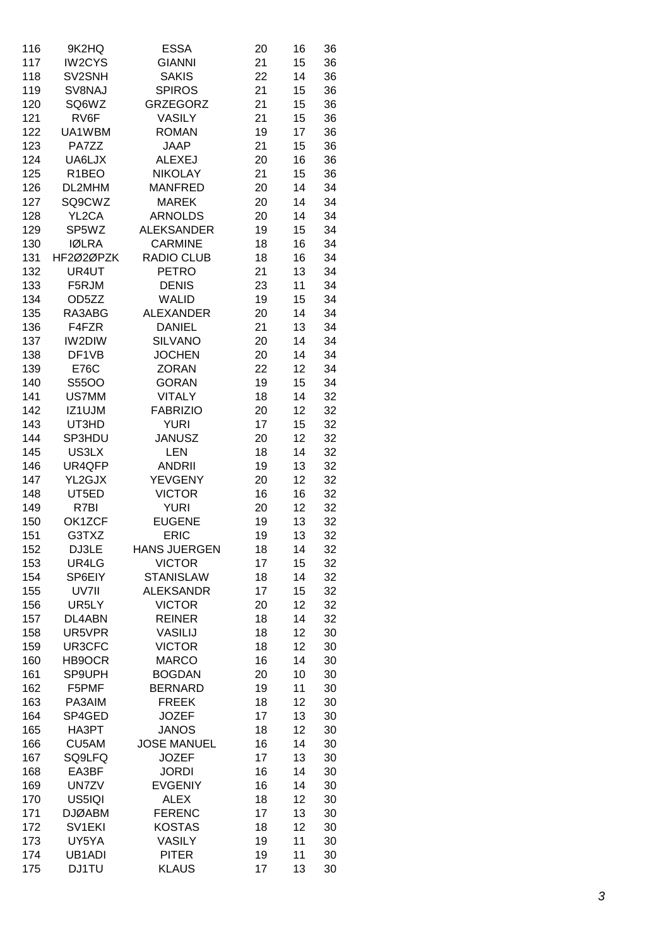| 116 | 9K2HQ              | <b>ESSA</b>         | 20 | 16 | 36 |
|-----|--------------------|---------------------|----|----|----|
| 117 | IW2CYS             | <b>GIANNI</b>       | 21 | 15 | 36 |
| 118 | SV2SNH             | <b>SAKIS</b>        | 22 | 14 | 36 |
| 119 | SV8NAJ             | <b>SPIROS</b>       | 21 | 15 | 36 |
| 120 | SQ6WZ              | <b>GRZEGORZ</b>     | 21 | 15 | 36 |
| 121 | RV6F               | <b>VASILY</b>       | 21 | 15 | 36 |
| 122 | UA1WBM             | <b>ROMAN</b>        | 19 | 17 | 36 |
| 123 | PA7ZZ              | <b>JAAP</b>         | 21 | 15 | 36 |
| 124 | UA6LJX             | <b>ALEXEJ</b>       | 20 | 16 | 36 |
| 125 | R <sub>1</sub> BEO | <b>NIKOLAY</b>      | 21 | 15 | 36 |
| 126 | DL2MHM             | <b>MANFRED</b>      | 20 | 14 | 34 |
| 127 | SQ9CWZ             | <b>MAREK</b>        | 20 | 14 | 34 |
| 128 | YL2CA              | <b>ARNOLDS</b>      | 20 | 14 | 34 |
| 129 | SP5WZ              | <b>ALEKSANDER</b>   | 19 | 15 | 34 |
| 130 | <b>IØLRA</b>       | <b>CARMINE</b>      | 18 | 16 | 34 |
| 131 | HF2Ø2ØPZK          | <b>RADIO CLUB</b>   | 18 | 16 | 34 |
| 132 | UR4UT              | <b>PETRO</b>        | 21 | 13 | 34 |
| 133 | F5RJM              | <b>DENIS</b>        | 23 |    | 34 |
|     |                    | <b>WALID</b>        |    | 11 | 34 |
| 134 | OD5ZZ              |                     | 19 | 15 |    |
| 135 | RA3ABG             | <b>ALEXANDER</b>    | 20 | 14 | 34 |
| 136 | F4FZR              | <b>DANIEL</b>       | 21 | 13 | 34 |
| 137 | IW2DIW             | <b>SILVANO</b>      | 20 | 14 | 34 |
| 138 | DF1VB              | <b>JOCHEN</b>       | 20 | 14 | 34 |
| 139 | <b>E76C</b>        | <b>ZORAN</b>        | 22 | 12 | 34 |
| 140 | S55OO              | <b>GORAN</b>        | 19 | 15 | 34 |
| 141 | US7MM              | <b>VITALY</b>       | 18 | 14 | 32 |
| 142 | IZ1UJM             | <b>FABRIZIO</b>     | 20 | 12 | 32 |
| 143 | UT3HD              | <b>YURI</b>         | 17 | 15 | 32 |
| 144 | SP3HDU             | <b>JANUSZ</b>       | 20 | 12 | 32 |
| 145 | US3LX              | <b>LEN</b>          | 18 | 14 | 32 |
| 146 | UR4QFP             | <b>ANDRII</b>       | 19 | 13 | 32 |
| 147 | YL2GJX             | <b>YEVGENY</b>      | 20 | 12 | 32 |
| 148 | UT5ED              | <b>VICTOR</b>       | 16 | 16 | 32 |
| 149 | R7BI               | <b>YURI</b>         | 20 | 12 | 32 |
| 150 | OK1ZCF             | <b>EUGENE</b>       | 19 | 13 | 32 |
| 151 | G3TXZ              | <b>ERIC</b>         | 19 | 13 | 32 |
| 152 | DJ3LE              | <b>HANS JUERGEN</b> | 18 | 14 | 32 |
| 153 | UR4LG              | <b>VICTOR</b>       | 17 | 15 | 32 |
| 154 | SP6EIY             | <b>STANISLAW</b>    | 18 | 14 | 32 |
| 155 | UV7II              | <b>ALEKSANDR</b>    | 17 | 15 | 32 |
| 156 | UR5LY              | <b>VICTOR</b>       | 20 | 12 | 32 |
| 157 | DL4ABN             | <b>REINER</b>       | 18 | 14 | 32 |
| 158 | UR5VPR             | <b>VASILIJ</b>      | 18 | 12 | 30 |
| 159 | UR3CFC             | <b>VICTOR</b>       | 18 | 12 | 30 |
| 160 | HB9OCR             | <b>MARCO</b>        | 16 | 14 | 30 |
| 161 | SP9UPH             | <b>BOGDAN</b>       | 20 | 10 | 30 |
| 162 | F5PMF              | <b>BERNARD</b>      | 19 | 11 | 30 |
| 163 | PA3AIM             | <b>FREEK</b>        | 18 | 12 | 30 |
| 164 | SP4GED             | <b>JOZEF</b>        | 17 | 13 | 30 |
| 165 | HA3PT              | <b>JANOS</b>        | 18 | 12 | 30 |
| 166 | CU5AM              | <b>JOSE MANUEL</b>  | 16 | 14 | 30 |
| 167 | SQ9LFQ             | <b>JOZEF</b>        | 17 | 13 | 30 |
| 168 | EA3BF              | <b>JORDI</b>        | 16 | 14 | 30 |
| 169 | UN7ZV              | <b>EVGENIY</b>      | 16 | 14 | 30 |
| 170 | US5IQI             | <b>ALEX</b>         | 18 | 12 | 30 |
| 171 | <b>DJØABM</b>      | <b>FERENC</b>       | 17 | 13 | 30 |
| 172 | SV1EKI             | <b>KOSTAS</b>       | 18 | 12 | 30 |
| 173 | UY5YA              | VASILY              | 19 | 11 | 30 |
| 174 | UB1ADI             | <b>PITER</b>        | 19 | 11 | 30 |
| 175 | <b>DJ1TU</b>       | <b>KLAUS</b>        | 17 | 13 | 30 |
|     |                    |                     |    |    |    |